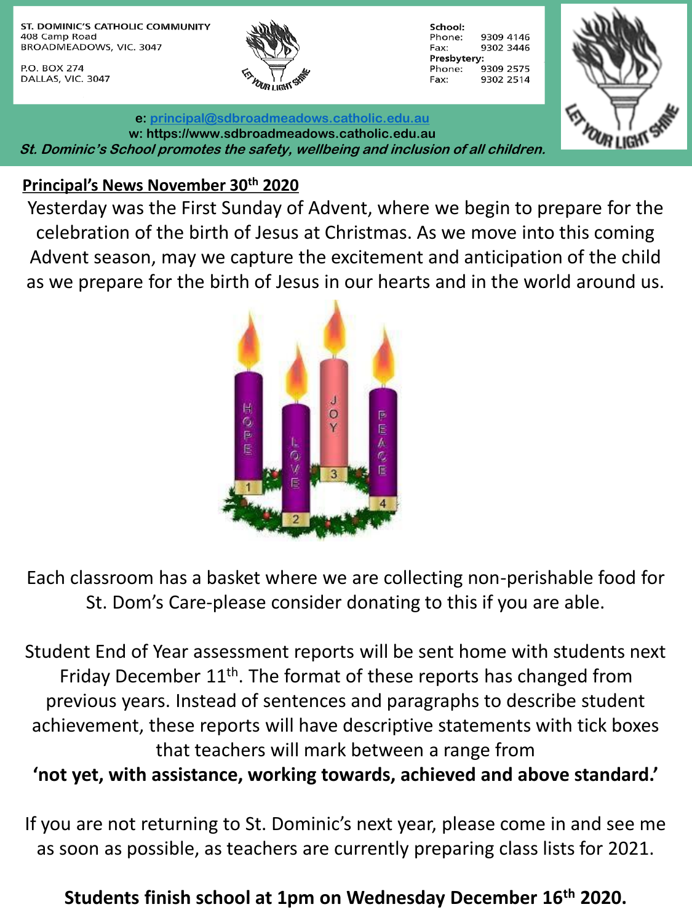ST. DOMINIC'S CATHOLIC COMMUNITY 408 Camp Road BROADMEADOWS, VIC. 3047

P.O. BOX 274 DALLAS, VIC. 3047



| School:     |           |
|-------------|-----------|
| Phone:      | 9309 4146 |
| Fax:        | 9302 3446 |
| Presbytery: |           |
| Phone:      | 9309 2575 |
| Fax:        | 9302 2514 |



**e: [principal@sdbroadmeadows.catholic.edu.au](mailto:principal@sdbroadmeadows.catholic.edu.au) w: https://www.sdbroadmeadows.catholic.edu.au St. Dominic's School promotes the safety, wellbeing and inclusion of all children.**

#### **Principal's News November 30th 2020**

Yesterday was the First Sunday of Advent, where we begin to prepare for the celebration of the birth of Jesus at Christmas. As we move into this coming Advent season, may we capture the excitement and anticipation of the child as we prepare for the birth of Jesus in our hearts and in the world around us.



Each classroom has a basket where we are collecting non-perishable food for St. Dom's Care-please consider donating to this if you are able.

Student End of Year assessment reports will be sent home with students next Friday December  $11<sup>th</sup>$ . The format of these reports has changed from previous years. Instead of sentences and paragraphs to describe student achievement, these reports will have descriptive statements with tick boxes that teachers will mark between a range from **'not yet, with assistance, working towards, achieved and above standard.'** 

If you are not returning to St. Dominic's next year, please come in and see me as soon as possible, as teachers are currently preparing class lists for 2021.

**Students finish school at 1pm on Wednesday December 16th 2020.**